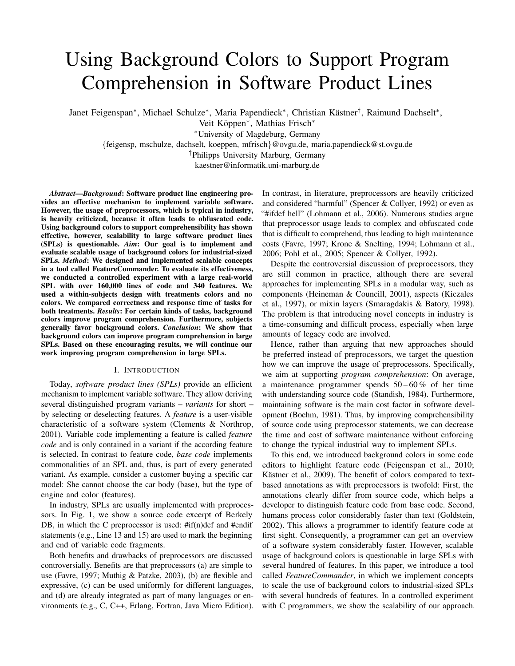# Using Background Colors to Support Program Comprehension in Software Product Lines

Janet Feigenspan\*, Michael Schulze\*, Maria Papendieck\*, Christian Kästner<sup>†</sup>, Raimund Dachselt\*,

Veit Köppen<sup>\*</sup>, Mathias Frisch<sup>\*</sup>

<sup>∗</sup>University of Magdeburg, Germany

{feigensp, mschulze, dachselt, koeppen, mfrisch}@ovgu.de, maria.papendieck@st.ovgu.de

†Philipps University Marburg, Germany

kaestner@informatik.uni-marburg.de

*Abstract*—*Background*: Software product line engineering provides an effective mechanism to implement variable software. However, the usage of preprocessors, which is typical in industry, is heavily criticized, because it often leads to obfuscated code. Using background colors to support comprehensibility has shown effective, however, scalability to large software product lines (SPLs) is questionable. *Aim*: Our goal is to implement and evaluate scalable usage of background colors for industrial-sized SPLs. *Method*: We designed and implemented scalable concepts in a tool called FeatureCommander. To evaluate its effectiveness, we conducted a controlled experiment with a large real-world SPL with over 160,000 lines of code and 340 features. We used a within-subjects design with treatments colors and no colors. We compared correctness and response time of tasks for both treatments. *Results*: For certain kinds of tasks, background colors improve program comprehension. Furthermore, subjects generally favor background colors. *Conclusion*: We show that background colors can improve program comprehension in large SPLs. Based on these encouraging results, we will continue our work improving program comprehension in large SPLs.

# I. INTRODUCTION

Today, *software product lines (SPLs)* provide an efficient mechanism to implement variable software. They allow deriving several distinguished program variants – *variants* for short – by selecting or deselecting features. A *feature* is a user-visible characteristic of a software system (Clements & Northrop, 2001). Variable code implementing a feature is called *feature code* and is only contained in a variant if the according feature is selected. In contrast to feature code, *base code* implements commonalities of an SPL and, thus, is part of every generated variant. As example, consider a customer buying a specific car model: She cannot choose the car body (base), but the type of engine and color (features).

In industry, SPLs are usually implemented with preprocessors. In Fig. 1, we show a source code excerpt of Berkely DB, in which the C preprocessor is used: #if(n)def and #endif statements (e.g., Line 13 and 15) are used to mark the beginning and end of variable code fragments.

Both benefits and drawbacks of preprocessors are discussed controversially. Benefits are that preprocessors (a) are simple to use (Favre, 1997; Muthig & Patzke, 2003), (b) are flexible and expressive, (c) can be used uniformly for different languages, and (d) are already integrated as part of many languages or environments (e.g., C, C++, Erlang, Fortran, Java Micro Edition).

In contrast, in literature, preprocessors are heavily criticized and considered "harmful" (Spencer & Collyer, 1992) or even as "#ifdef hell" (Lohmann et al., 2006). Numerous studies argue that preprocessor usage leads to complex and obfuscated code that is difficult to comprehend, thus leading to high maintenance costs (Favre, 1997; Krone & Snelting, 1994; Lohmann et al., 2006; Pohl et al., 2005; Spencer & Collyer, 1992).

Despite the controversial discussion of preprocessors, they are still common in practice, although there are several approaches for implementing SPLs in a modular way, such as components (Heineman & Councill, 2001), aspects (Kiczales et al., 1997), or mixin layers (Smaragdakis & Batory, 1998). The problem is that introducing novel concepts in industry is a time-consuming and difficult process, especially when large amounts of legacy code are involved.

Hence, rather than arguing that new approaches should be preferred instead of preprocessors, we target the question how we can improve the usage of preprocessors. Specifically, we aim at supporting *program comprehension*: On average, a maintenance programmer spends  $50 - 60\%$  of her time with understanding source code (Standish, 1984). Furthermore, maintaining software is the main cost factor in software development (Boehm, 1981). Thus, by improving comprehensibility of source code using preprocessor statements, we can decrease the time and cost of software maintenance without enforcing to change the typical industrial way to implement SPLs.

To this end, we introduced background colors in some code editors to highlight feature code (Feigenspan et al., 2010; Kästner et al., 2009). The benefit of colors compared to textbased annotations as with preprocessors is twofold: First, the annotations clearly differ from source code, which helps a developer to distinguish feature code from base code. Second, humans process color considerably faster than text (Goldstein, 2002). This allows a programmer to identify feature code at first sight. Consequently, a programmer can get an overview of a software system considerably faster. However, scalable usage of background colors is questionable in large SPLs with several hundred of features. In this paper, we introduce a tool called *FeatureCommander*, in which we implement concepts to scale the use of background colors to industrial-sized SPLs with several hundreds of features. In a controlled experiment with C programmers, we show the scalability of our approach.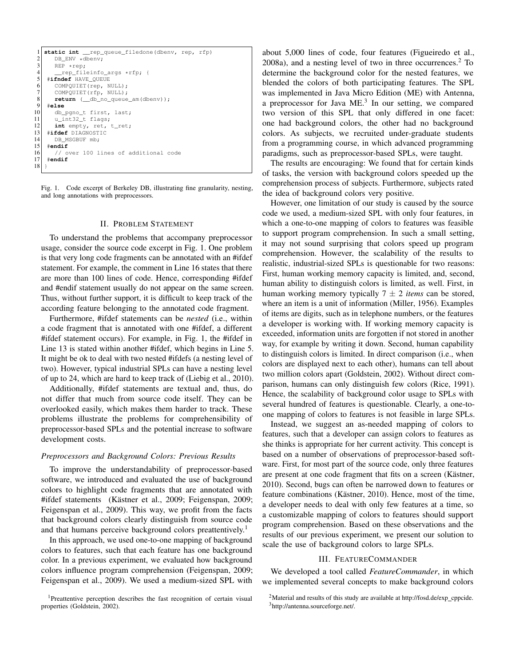```
1 static int __rep_queue_filedone(dbenv, rep, rfp)<br>2 DR ENV +dbenv:
 \begin{array}{c|c}\n2 & DB\_ENV \star dbenv;\n\end{array}\begin{array}{c|c}\n3 & \text{REP } \text{*rep;} \\
4 & \text{ren fil}\n\end{array}\frac{4}{5} \frac{1}{4} \frac{1}{4} \frac{1}{4} \frac{1}{4} \frac{1}{4} \frac{1}{4} \frac{1}{4} \frac{1}{4} \frac{1}{4} \frac{1}{4} \frac{1}{4} \frac{1}{4} \frac{1}{4} \frac{1}{4} \frac{1}{4} \frac{1}{4} \frac{1}{4} \frac{1}{4} \frac{1}{4} \frac{1}{4} \frac{1}{4} 5 #ifndef HAVE_QUEUE
 6 COMPQUIET(rep, NULL);<br>7 COMPQUIET(rfp, NULL);
              COMPQUIET(rfp, NULL);
 \begin{bmatrix} 8 \\ 9 \end{bmatrix} return (\text{db\_no\_queue\_am}\left(\text{dbenv}\right));
\begin{bmatrix} 9 \\ 10 \end{bmatrix} #else
10 db_pgno_t first, last;<br>11 u int32 t flags;
              u_int32_t flags;
12 int empty, ret, t_ret;<br>13 #ifdef DIAGNOSTIC
13 #ifdef DIAGNOSTIC<br>14 DB_MSGBUF mb;
14 DB_MSGBUF mb;<br>15 \#endif
        15 #endif
16 \left/ / over 100 lines of additional code<br>17 #endif
         17 #endif
18 }
```
Fig. 1. Code excerpt of Berkeley DB, illustrating fine granularity, nesting, and long annotations with preprocessors.

# II. PROBLEM STATEMENT

To understand the problems that accompany preprocessor usage, consider the source code excerpt in Fig. 1. One problem is that very long code fragments can be annotated with an #ifdef statement. For example, the comment in Line 16 states that there are more than 100 lines of code. Hence, corresponding #ifdef and #endif statement usually do not appear on the same screen. Thus, without further support, it is difficult to keep track of the according feature belonging to the annotated code fragment.

Furthermore, #ifdef statements can be *nested* (i.e., within a code fragment that is annotated with one #ifdef, a different #ifdef statement occurs). For example, in Fig. 1, the #ifdef in Line 13 is stated within another #ifdef, which begins in Line 5. It might be ok to deal with two nested #ifdefs (a nesting level of two). However, typical industrial SPLs can have a nesting level of up to 24, which are hard to keep track of (Liebig et al., 2010).

Additionally, #ifdef statements are textual and, thus, do not differ that much from source code itself. They can be overlooked easily, which makes them harder to track. These problems illustrate the problems for comprehensibility of preprocessor-based SPLs and the potential increase to software development costs.

# *Preprocessors and Background Colors: Previous Results*

To improve the understandability of preprocessor-based software, we introduced and evaluated the use of background colors to highlight code fragments that are annotated with #ifdef statements (Kästner et al., 2009; Feigenspan, 2009; Feigenspan et al., 2009). This way, we profit from the facts that background colors clearly distinguish from source code and that humans perceive background colors preattentively.<sup>1</sup>

In this approach, we used one-to-one mapping of background colors to features, such that each feature has one background color. In a previous experiment, we evaluated how background colors influence program comprehension (Feigenspan, 2009; Feigenspan et al., 2009). We used a medium-sized SPL with

<sup>1</sup>Preattentive perception describes the fast recognition of certain visual properties (Goldstein, 2002).

about 5,000 lines of code, four features (Figueiredo et al.,  $2008a$ , and a nesting level of two in three occurrences.<sup>2</sup> To determine the background color for the nested features, we blended the colors of both participating features. The SPL was implemented in Java Micro Edition (ME) with Antenna, a preprocessor for Java ME.<sup>3</sup> In our setting, we compared two version of this SPL that only differed in one facet: one had background colors, the other had no background colors. As subjects, we recruited under-graduate students from a programming course, in which advanced programming paradigms, such as preprocessor-based SPLs, were taught.

The results are encouraging: We found that for certain kinds of tasks, the version with background colors speeded up the comprehension process of subjects. Furthermore, subjects rated the idea of background colors very positive.

However, one limitation of our study is caused by the source code we used, a medium-sized SPL with only four features, in which a one-to-one mapping of colors to features was feasible to support program comprehension. In such a small setting, it may not sound surprising that colors speed up program comprehension. However, the scalability of the results to realistic, industrial-sized SPLs is questionable for two reasons: First, human working memory capacity is limited, and, second, human ability to distinguish colors is limited, as well. First, in human working memory typically 7 ± 2 *items* can be stored, where an item is a unit of information (Miller, 1956). Examples of items are digits, such as in telephone numbers, or the features a developer is working with. If working memory capacity is exceeded, information units are forgotten if not stored in another way, for example by writing it down. Second, human capability to distinguish colors is limited. In direct comparison (i.e., when colors are displayed next to each other), humans can tell about two million colors apart (Goldstein, 2002). Without direct comparison, humans can only distinguish few colors (Rice, 1991). Hence, the scalability of background color usage to SPLs with several hundred of features is questionable. Clearly, a one-toone mapping of colors to features is not feasible in large SPLs.

Instead, we suggest an as-needed mapping of colors to features, such that a developer can assign colors to features as she thinks is appropriate for her current activity. This concept is based on a number of observations of preprocessor-based software. First, for most part of the source code, only three features are present at one code fragment that fits on a screen (Kästner, 2010). Second, bugs can often be narrowed down to features or feature combinations (Kästner, 2010). Hence, most of the time, a developer needs to deal with only few features at a time, so a customizable mapping of colors to features should support program comprehension. Based on these observations and the results of our previous experiment, we present our solution to scale the use of background colors to large SPLs.

## III. FEATURECOMMANDER

We developed a tool called *FeatureCommander*, in which we implemented several concepts to make background colors

<sup>&</sup>lt;sup>2</sup>Material and results of this study are available at http://fosd.de/exp\_cppcide. <sup>3</sup>http://antenna.sourceforge.net/.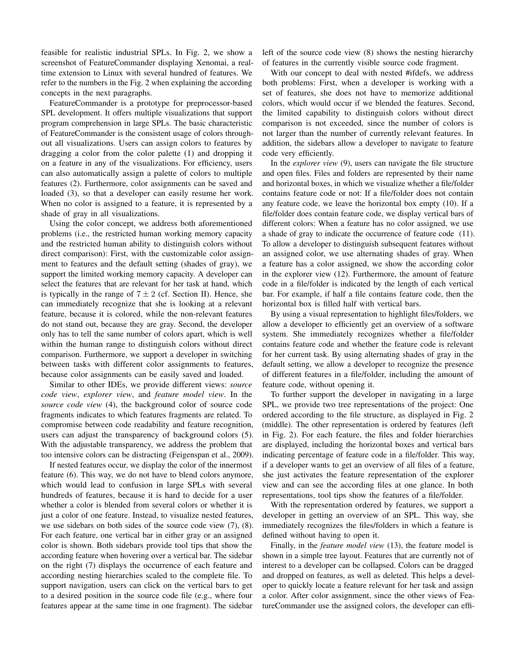feasible for realistic industrial SPLs. In Fig. 2, we show a screenshot of FeatureCommander displaying Xenomai, a realtime extension to Linux with several hundred of features. We refer to the numbers in the Fig. 2 when explaining the according concepts in the next paragraphs.

FeatureCommander is a prototype for preprocessor-based SPL development. It offers multiple visualizations that support program comprehension in large SPLs. The basic characteristic of FeatureCommander is the consistent usage of colors throughout all visualizations. Users can assign colors to features by dragging a color from the color palette (1) and dropping it on a feature in any of the visualizations. For efficiency, users can also automatically assign a palette of colors to multiple features (2). Furthermore, color assignments can be saved and loaded (3), so that a developer can easily resume her work. When no color is assigned to a feature, it is represented by a shade of gray in all visualizations.

Using the color concept, we address both aforementioned problems (i.e., the restricted human working memory capacity and the restricted human ability to distinguish colors without direct comparison): First, with the customizable color assignment to features and the default setting (shades of gray), we support the limited working memory capacity. A developer can select the features that are relevant for her task at hand, which is typically in the range of  $7 \pm 2$  (cf. Section II). Hence, she can immediately recognize that she is looking at a relevant feature, because it is colored, while the non-relevant features do not stand out, because they are gray. Second, the developer only has to tell the same number of colors apart, which is well within the human range to distinguish colors without direct comparison. Furthermore, we support a developer in switching between tasks with different color assignments to features, because color assignments can be easily saved and loaded.

Similar to other IDEs, we provide different views: *source code view*, *explorer view*, and *feature model view*. In the *source code view* (4), the background color of source code fragments indicates to which features fragments are related. To compromise between code readability and feature recognition, users can adjust the transparency of background colors (5). With the adjustable transparency, we address the problem that too intensive colors can be distracting (Feigenspan et al., 2009).

If nested features occur, we display the color of the innermost feature (6). This way, we do not have to blend colors anymore, which would lead to confusion in large SPLs with several hundreds of features, because it is hard to decide for a user whether a color is blended from several colors or whether it is just a color of one feature. Instead, to visualize nested features, we use sidebars on both sides of the source code view (7), (8). For each feature, one vertical bar in either gray or an assigned color is shown. Both sidebars provide tool tips that show the according feature when hovering over a vertical bar. The sidebar on the right (7) displays the occurrence of each feature and according nesting hierarchies scaled to the complete file. To support navigation, users can click on the vertical bars to get to a desired position in the source code file (e.g., where four features appear at the same time in one fragment). The sidebar

left of the source code view (8) shows the nesting hierarchy of features in the currently visible source code fragment.

With our concept to deal with nested #ifdefs, we address both problems: First, when a developer is working with a set of features, she does not have to memorize additional colors, which would occur if we blended the features. Second, the limited capability to distinguish colors without direct comparison is not exceeded, since the number of colors is not larger than the number of currently relevant features. In addition, the sidebars allow a developer to navigate to feature code very efficiently.

In the *explorer view* (9), users can navigate the file structure and open files. Files and folders are represented by their name and horizontal boxes, in which we visualize whether a file/folder contains feature code or not: If a file/folder does not contain any feature code, we leave the horizontal box empty (10). If a file/folder does contain feature code, we display vertical bars of different colors: When a feature has no color assigned, we use a shade of gray to indicate the occurrence of feature code (11). To allow a developer to distinguish subsequent features without an assigned color, we use alternating shades of gray. When a feature has a color assigned, we show the according color in the explorer view (12). Furthermore, the amount of feature code in a file/folder is indicated by the length of each vertical bar. For example, if half a file contains feature code, then the horizontal box is filled half with vertical bars.

By using a visual representation to highlight files/folders, we allow a developer to efficiently get an overview of a software system. She immediately recognizes whether a file/folder contains feature code and whether the feature code is relevant for her current task. By using alternating shades of gray in the default setting, we allow a developer to recognize the presence of different features in a file/folder, including the amount of feature code, without opening it.

To further support the developer in navigating in a large SPL, we provide two tree representations of the project: One ordered according to the file structure, as displayed in Fig. 2 (middle). The other representation is ordered by features (left in Fig. 2). For each feature, the files and folder hierarchies are displayed, including the horizontal boxes and vertical bars indicating percentage of feature code in a file/folder. This way, if a developer wants to get an overview of all files of a feature, she just activates the feature representation of the explorer view and can see the according files at one glance. In both representations, tool tips show the features of a file/folder.

With the representation ordered by features, we support a developer in getting an overview of an SPL. This way, she immediately recognizes the files/folders in which a feature is defined without having to open it.

Finally, in the *feature model view* (13), the feature model is shown in a simple tree layout. Features that are currently not of interest to a developer can be collapsed. Colors can be dragged and dropped on features, as well as deleted. This helps a developer to quickly locate a feature relevant for her task and assign a color. After color assignment, since the other views of FeatureCommander use the assigned colors, the developer can effi-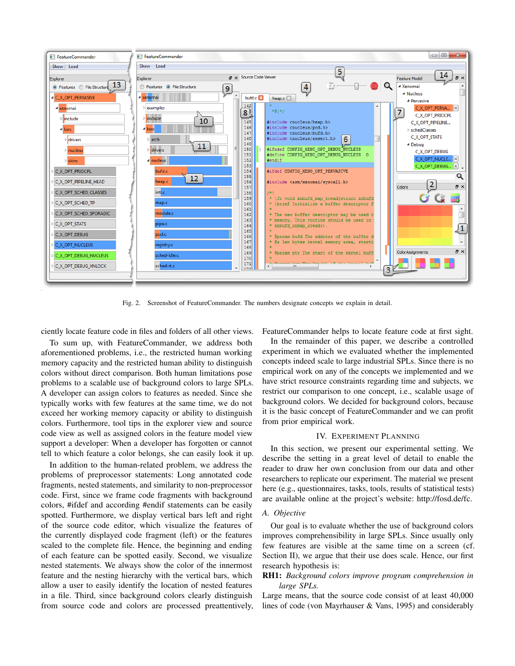

Fig. 2. Screenshot of FeatureCommander. The numbers designate concepts we explain in detail.

ciently locate feature code in files and folders of all other views.

To sum up, with FeatureCommander, we address both aforementioned problems, i.e., the restricted human working memory capacity and the restricted human ability to distinguish colors without direct comparison. Both human limitations pose problems to a scalable use of background colors to large SPLs. A developer can assign colors to features as needed. Since she typically works with few features at the same time, we do not exceed her working memory capacity or ability to distinguish colors. Furthermore, tool tips in the explorer view and source code view as well as assigned colors in the feature model view support a developer: When a developer has forgotten or cannot tell to which feature a color belongs, she can easily look it up.

In addition to the human-related problem, we address the problems of preprocessor statements: Long annotated code fragments, nested statements, and similarity to non-preprocessor code. First, since we frame code fragments with background colors, #ifdef and according #endif statements can be easily spotted. Furthermore, we display vertical bars left and right of the source code editor, which visualize the features of the currently displayed code fragment (left) or the features scaled to the complete file. Hence, the beginning and ending of each feature can be spotted easily. Second, we visualize nested statements. We always show the color of the innermost feature and the nesting hierarchy with the vertical bars, which allow a user to easily identify the location of nested features in a file. Third, since background colors clearly distinguish from source code and colors are processed preattentively, FeatureCommander helps to locate feature code at first sight.

In the remainder of this paper, we describe a controlled experiment in which we evaluated whether the implemented concepts indeed scale to large industrial SPLs. Since there is no empirical work on any of the concepts we implemented and we have strict resource constraints regarding time and subjects, we restrict our comparison to one concept, i.e., scalable usage of background colors. We decided for background colors, because it is the basic concept of FeatureCommander and we can profit from prior empirical work.

#### IV. EXPERIMENT PLANNING

In this section, we present our experimental setting. We describe the setting in a great level of detail to enable the reader to draw her own conclusion from our data and other researchers to replicate our experiment. The material we present here (e.g., questionnaires, tasks, tools, results of statistical tests) are available online at the project's website: http://fosd.de/fc.

## *A. Objective*

Our goal is to evaluate whether the use of background colors improves comprehensibility in large SPLs. Since usually only few features are visible at the same time on a screen (cf. Section II), we argue that their use does scale. Hence, our first research hypothesis is:

# RH1: *Background colors improve program comprehension in large SPLs.*

Large means, that the source code consist of at least 40,000 lines of code (von Mayrhauser & Vans, 1995) and considerably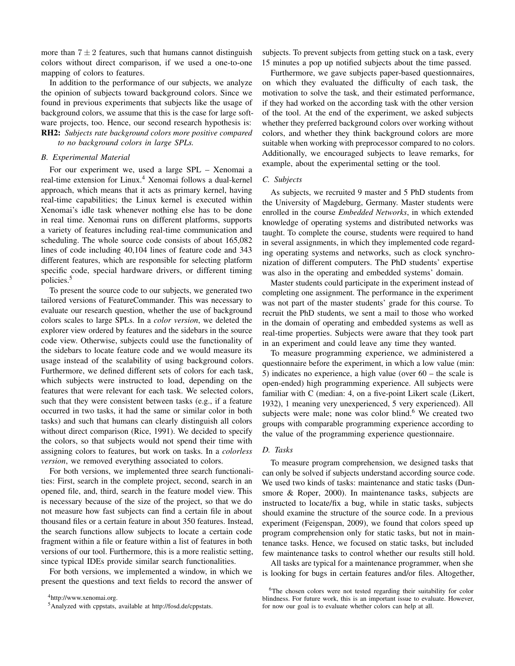more than  $7 \pm 2$  features, such that humans cannot distinguish colors without direct comparison, if we used a one-to-one mapping of colors to features.

In addition to the performance of our subjects, we analyze the opinion of subjects toward background colors. Since we found in previous experiments that subjects like the usage of background colors, we assume that this is the case for large software projects, too. Hence, our second research hypothesis is: RH2: *Subjects rate background colors more positive compared to no background colors in large SPLs.*

#### *B. Experimental Material*

For our experiment we, used a large SPL – Xenomai a real-time extension for Linux.<sup>4</sup> Xenomai follows a dual-kernel approach, which means that it acts as primary kernel, having real-time capabilities; the Linux kernel is executed within Xenomai's idle task whenever nothing else has to be done in real time. Xenomai runs on different platforms, supports a variety of features including real-time communication and scheduling. The whole source code consists of about 165,082 lines of code including 40,104 lines of feature code and 343 different features, which are responsible for selecting platform specific code, special hardware drivers, or different timing policies.<sup>5</sup>

To present the source code to our subjects, we generated two tailored versions of FeatureCommander. This was necessary to evaluate our research question, whether the use of background colors scales to large SPLs. In a *color version*, we deleted the explorer view ordered by features and the sidebars in the source code view. Otherwise, subjects could use the functionality of the sidebars to locate feature code and we would measure its usage instead of the scalability of using background colors. Furthermore, we defined different sets of colors for each task, which subjects were instructed to load, depending on the features that were relevant for each task. We selected colors, such that they were consistent between tasks (e.g., if a feature occurred in two tasks, it had the same or similar color in both tasks) and such that humans can clearly distinguish all colors without direct comparison (Rice, 1991). We decided to specify the colors, so that subjects would not spend their time with assigning colors to features, but work on tasks. In a *colorless version*, we removed everything associated to colors.

For both versions, we implemented three search functionalities: First, search in the complete project, second, search in an opened file, and, third, search in the feature model view. This is necessary because of the size of the project, so that we do not measure how fast subjects can find a certain file in about thousand files or a certain feature in about 350 features. Instead, the search functions allow subjects to locate a certain code fragment within a file or feature within a list of features in both versions of our tool. Furthermore, this is a more realistic setting, since typical IDEs provide similar search functionalities.

For both versions, we implemented a window, in which we present the questions and text fields to record the answer of

<sup>4</sup>http://www.xenomai.org.

subjects. To prevent subjects from getting stuck on a task, every 15 minutes a pop up notified subjects about the time passed.

Furthermore, we gave subjects paper-based questionnaires, on which they evaluated the difficulty of each task, the motivation to solve the task, and their estimated performance, if they had worked on the according task with the other version of the tool. At the end of the experiment, we asked subjects whether they preferred background colors over working without colors, and whether they think background colors are more suitable when working with preprocessor compared to no colors. Additionally, we encouraged subjects to leave remarks, for example, about the experimental setting or the tool.

# *C. Subjects*

As subjects, we recruited 9 master and 5 PhD students from the University of Magdeburg, Germany. Master students were enrolled in the course *Embedded Networks*, in which extended knowledge of operating systems and distributed networks was taught. To complete the course, students were required to hand in several assignments, in which they implemented code regarding operating systems and networks, such as clock synchronization of different computers. The PhD students' expertise was also in the operating and embedded systems' domain.

Master students could participate in the experiment instead of completing one assignment. The performance in the experiment was not part of the master students' grade for this course. To recruit the PhD students, we sent a mail to those who worked in the domain of operating and embedded systems as well as real-time properties. Subjects were aware that they took part in an experiment and could leave any time they wanted.

To measure programming experience, we administered a questionnaire before the experiment, in which a low value (min: 5) indicates no experience, a high value (over  $60 -$  the scale is open-ended) high programming experience. All subjects were familiar with C (median: 4, on a five-point Likert scale (Likert, 1932), 1 meaning very unexperienced, 5 very experienced). All subjects were male; none was color blind.<sup>6</sup> We created two groups with comparable programming experience according to the value of the programming experience questionnaire.

# *D. Tasks*

To measure program comprehension, we designed tasks that can only be solved if subjects understand according source code. We used two kinds of tasks: maintenance and static tasks (Dunsmore & Roper, 2000). In maintenance tasks, subjects are instructed to locate/fix a bug, while in static tasks, subjects should examine the structure of the source code. In a previous experiment (Feigenspan, 2009), we found that colors speed up program comprehension only for static tasks, but not in maintenance tasks. Hence, we focused on static tasks, but included few maintenance tasks to control whether our results still hold.

All tasks are typical for a maintenance programmer, when she is looking for bugs in certain features and/or files. Altogether,

<sup>5</sup>Analyzed with cppstats, available at http://fosd.de/cppstats.

<sup>&</sup>lt;sup>6</sup>The chosen colors were not tested regarding their suitability for color blindness. For future work, this is an important issue to evaluate. However, for now our goal is to evaluate whether colors can help at all.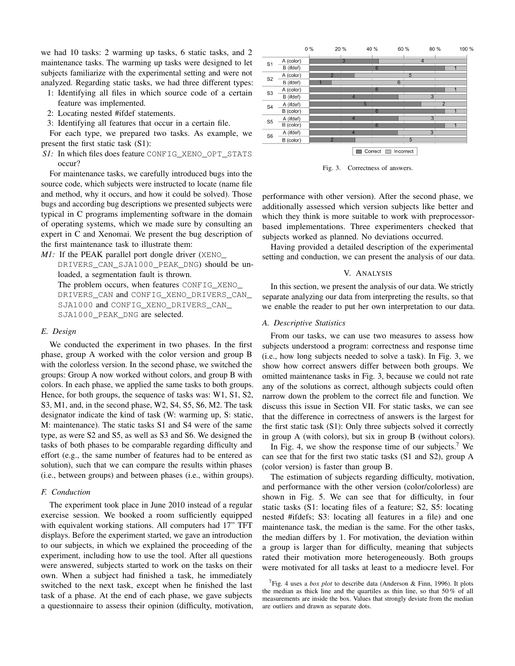we had 10 tasks: 2 warming up tasks, 6 static tasks, and 2 maintenance tasks. The warming up tasks were designed to let subjects familiarize with the experimental setting and were not analyzed. Regarding static tasks, we had three different types:

- 1: Identifying all files in which source code of a certain feature was implemented.
- 2: Locating nested #ifdef statements.
- 3: Identifying all features that occur in a certain file.

For each type, we prepared two tasks. As example, we present the first static task (S1):

*S1:* In which files does feature CONFIG\_XENO\_OPT\_STATS occur?

For maintenance tasks, we carefully introduced bugs into the source code, which subjects were instructed to locate (name file and method, why it occurs, and how it could be solved). Those bugs and according bug descriptions we presented subjects were typical in C programs implementing software in the domain of operating systems, which we made sure by consulting an expert in C and Xenomai. We present the bug description of the first maintenance task to illustrate them:

*M1*: If the PEAK parallel port dongle driver (XENO

DRIVERS\_CAN\_SJA1000\_PEAK\_DNG) should be unloaded, a segmentation fault is thrown.

The problem occurs, when features CONFIG\_XENO\_ DRIVERS\_CAN and CONFIG\_XENO\_DRIVERS\_CAN\_

SJA1000 and CONFIG\_XENO\_DRIVERS\_CAN\_ SJA1000\_PEAK\_DNG are selected.

#### *E. Design*

We conducted the experiment in two phases. In the first phase, group A worked with the color version and group B with the colorless version. In the second phase, we switched the groups: Group A now worked without colors, and group B with colors. In each phase, we applied the same tasks to both groups. Hence, for both groups, the sequence of tasks was: W1, S1, S2, S3, M1, and, in the second phase, W2, S4, S5, S6, M2. The task designator indicate the kind of task (W: warming up, S: static, M: maintenance). The static tasks S1 and S4 were of the same type, as were S2 and S5, as well as S3 and S6. We designed the tasks of both phases to be comparable regarding difficulty and effort (e.g., the same number of features had to be entered as solution), such that we can compare the results within phases (i.e., between groups) and between phases (i.e., within groups).

#### *F. Conduction*

The experiment took place in June 2010 instead of a regular exercise session. We booked a room sufficiently equipped with equivalent working stations. All computers had 17" TFT displays. Before the experiment started, we gave an introduction to our subjects, in which we explained the proceeding of the experiment, including how to use the tool. After all questions were answered, subjects started to work on the tasks on their own. When a subject had finished a task, he immediately switched to the next task, except when he finished the last task of a phase. At the end of each phase, we gave subjects a questionnaire to assess their opinion (difficulty, motivation,



Fig. 3. Correctness of answers.

performance with other version). After the second phase, we additionally assessed which version subjects like better and which they think is more suitable to work with preprocessorbased implementations. Three experimenters checked that subjects worked as planned. No deviations occurred.

Having provided a detailed description of the experimental setting and conduction, we can present the analysis of our data.

## V. ANALYSIS

In this section, we present the analysis of our data. We strictly separate analyzing our data from interpreting the results, so that we enable the reader to put her own interpretation to our data.

#### *A. Descriptive Statistics*

From our tasks, we can use two measures to assess how subjects understood a program: correctness and response time (i.e., how long subjects needed to solve a task). In Fig. 3, we show how correct answers differ between both groups. We omitted maintenance tasks in Fig. 3, because we could not rate any of the solutions as correct, although subjects could often narrow down the problem to the correct file and function. We discuss this issue in Section VII. For static tasks, we can see that the difference in correctness of answers is the largest for the first static task (S1): Only three subjects solved it correctly in group A (with colors), but six in group B (without colors).

In Fig. 4, we show the response time of our subjects.<sup>7</sup> We can see that for the first two static tasks (S1 and S2), group A (color version) is faster than group B.

The estimation of subjects regarding difficulty, motivation, and performance with the other version (color/colorless) are shown in Fig. 5. We can see that for difficulty, in four static tasks (S1: locating files of a feature; S2, S5: locating nested #ifdefs; S3: locating all features in a file) and one maintenance task, the median is the same. For the other tasks, the median differs by 1. For motivation, the deviation within a group is larger than for difficulty, meaning that subjects rated their motivation more heterogeneously. Both groups were motivated for all tasks at least to a mediocre level. For

<sup>7</sup>Fig. 4 uses a *box plot* to describe data (Anderson & Finn, 1996). It plots the median as thick line and the quartiles as thin line, so that 50 % of all measurements are inside the box. Values that strongly deviate from the median are outliers and drawn as separate dots.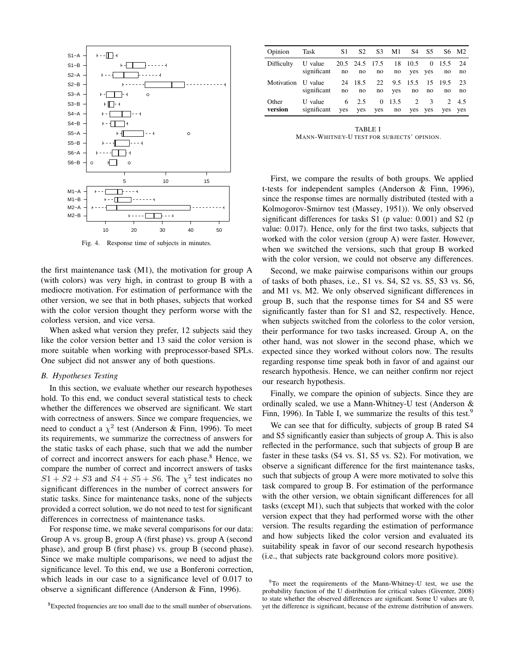

Fig. 4. Response time of subjects in minutes.

the first maintenance task (M1), the motivation for group A (with colors) was very high, in contrast to group B with a mediocre motivation. For estimation of performance with the other version, we see that in both phases, subjects that worked with the color version thought they perform worse with the colorless version, and vice versa.

When asked what version they prefer, 12 subjects said they like the color version better and 13 said the color version is more suitable when working with preprocessor-based SPLs. One subject did not answer any of both questions.

# *B. Hypotheses Testing*

In this section, we evaluate whether our research hypotheses hold. To this end, we conduct several statistical tests to check whether the differences we observed are significant. We start with correctness of answers. Since we compare frequencies, we need to conduct a  $\chi^2$  test (Anderson & Finn, 1996). To meet its requirements, we summarize the correctness of answers for the static tasks of each phase, such that we add the number of correct and incorrect answers for each phase.<sup>8</sup> Hence, we compare the number of correct and incorrect answers of tasks  $S1 + S2 + S3$  and  $S4 + S5 + S6$ . The  $\chi^2$  test indicates no significant differences in the number of correct answers for static tasks. Since for maintenance tasks, none of the subjects provided a correct solution, we do not need to test for significant differences in correctness of maintenance tasks.

For response time, we make several comparisons for our data: Group A vs. group B, group A (first phase) vs. group A (second phase), and group B (first phase) vs. group B (second phase). Since we make multiple comparisons, we need to adjust the significance level. To this end, we use a Bonferoni correction, which leads in our case to a significance level of 0.017 to observe a significant difference (Anderson & Finn, 1996).

| Opinion          | Task                   | S1       | S2                   | S <sub>3</sub>  | M1         |                | S4 S5           |                    | S6 M2      |
|------------------|------------------------|----------|----------------------|-----------------|------------|----------------|-----------------|--------------------|------------|
| Difficulty       | U value<br>significant | no       | 20.5 24.5 17.5<br>no | no              | no         | 18 10.5<br>yes | $\Omega$<br>yes | 15.5<br>no         | -24<br>no  |
| Motivation       | U value<br>significant | 24<br>no | 18.5<br>no           | 22<br>no        | yes        | 9.5 15.5<br>no | 15<br>no        | - 19.5<br>no       | 23<br>no   |
| Other<br>version | U value<br>significant | 6<br>yes | 2.5<br>yes           | $\Omega$<br>yes | 13.5<br>no | yes            | 2 3<br>yes      | $2^{\circ}$<br>yes | 4.5<br>yes |

TABLE I MANN-WHITNEY-U TEST FOR SUBJECTS' OPINION.

First, we compare the results of both groups. We applied t-tests for independent samples (Anderson & Finn, 1996), since the response times are normally distributed (tested with a Kolmogorov-Smirnov test (Massey, 1951)). We only observed significant differences for tasks S1 (p value: 0.001) and S2 (p value: 0.017). Hence, only for the first two tasks, subjects that worked with the color version (group A) were faster. However, when we switched the versions, such that group B worked with the color version, we could not observe any differences.

Second, we make pairwise comparisons within our groups of tasks of both phases, i.e., S1 vs. S4, S2 vs. S5, S3 vs. S6, and M1 vs. M2. We only observed significant differences in group B, such that the response times for S4 and S5 were significantly faster than for S1 and S2, respectively. Hence, when subjects switched from the colorless to the color version, their performance for two tasks increased. Group A, on the other hand, was not slower in the second phase, which we expected since they worked without colors now. The results regarding response time speak both in favor of and against our research hypothesis. Hence, we can neither confirm nor reject our research hypothesis.

Finally, we compare the opinion of subjects. Since they are ordinally scaled, we use a Mann-Whitney-U test (Anderson & Finn, 1996). In Table I, we summarize the results of this test.<sup>9</sup>

We can see that for difficulty, subjects of group B rated S4 and S5 significantly easier than subjects of group A. This is also reflected in the performance, such that subjects of group B are faster in these tasks (S4 vs. S1, S5 vs. S2). For motivation, we observe a significant difference for the first maintenance tasks, such that subjects of group A were more motivated to solve this task compared to group B. For estimation of the performance with the other version, we obtain significant differences for all tasks (except M1), such that subjects that worked with the color version expect that they had performed worse with the other version. The results regarding the estimation of performance and how subjects liked the color version and evaluated its suitability speak in favor of our second research hypothesis (i.e., that subjects rate background colors more positive).

<sup>&</sup>lt;sup>8</sup>Expected frequencies are too small due to the small number of observations.

<sup>9</sup>To meet the requirements of the Mann-Whitney-U test, we use the probability function of the U distribution for critical values (Giventer, 2008) to state whether the observed differences are significant. Some U values are 0, yet the difference is significant, because of the extreme distribution of answers.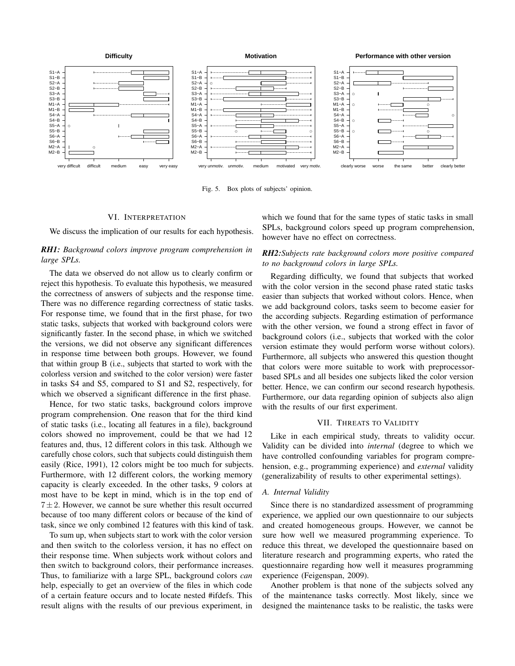

Fig. 5. Box plots of subjects' opinion.

# VI. INTERPRETATION

We discuss the implication of our results for each hypothesis.

# *RH1: Background colors improve program comprehension in large SPLs.*

The data we observed do not allow us to clearly confirm or reject this hypothesis. To evaluate this hypothesis, we measured the correctness of answers of subjects and the response time. There was no difference regarding correctness of static tasks. For response time, we found that in the first phase, for two static tasks, subjects that worked with background colors were significantly faster. In the second phase, in which we switched the versions, we did not observe any significant differences in response time between both groups. However, we found that within group B (i.e., subjects that started to work with the colorless version and switched to the color version) were faster in tasks S4 and S5, compared to S1 and S2, respectively, for which we observed a significant difference in the first phase.

Hence, for two static tasks, background colors improve program comprehension. One reason that for the third kind of static tasks (i.e., locating all features in a file), background colors showed no improvement, could be that we had 12 features and, thus, 12 different colors in this task. Although we carefully chose colors, such that subjects could distinguish them easily (Rice, 1991), 12 colors might be too much for subjects. Furthermore, with 12 different colors, the working memory capacity is clearly exceeded. In the other tasks, 9 colors at most have to be kept in mind, which is in the top end of  $7±2$ . However, we cannot be sure whether this result occurred because of too many different colors or because of the kind of task, since we only combined 12 features with this kind of task.

To sum up, when subjects start to work with the color version and then switch to the colorless version, it has no effect on their response time. When subjects work without colors and then switch to background colors, their performance increases. Thus, to familiarize with a large SPL, background colors *can* help, especially to get an overview of the files in which code of a certain feature occurs and to locate nested #ifdefs. This result aligns with the results of our previous experiment, in

which we found that for the same types of static tasks in small SPLs, background colors speed up program comprehension, however have no effect on correctness.

# *RH2:Subjects rate background colors more positive compared to no background colors in large SPLs.*

Regarding difficulty, we found that subjects that worked with the color version in the second phase rated static tasks easier than subjects that worked without colors. Hence, when we add background colors, tasks seem to become easier for the according subjects. Regarding estimation of performance with the other version, we found a strong effect in favor of background colors (i.e., subjects that worked with the color version estimate they would perform worse without colors). Furthermore, all subjects who answered this question thought that colors were more suitable to work with preprocessorbased SPLs and all besides one subjects liked the color version better. Hence, we can confirm our second research hypothesis. Furthermore, our data regarding opinion of subjects also align with the results of our first experiment.

## VII. THREATS TO VALIDITY

Like in each empirical study, threats to validity occur. Validity can be divided into *internal* (degree to which we have controlled confounding variables for program comprehension, e.g., programming experience) and *external* validity (generalizability of results to other experimental settings).

#### *A. Internal Validity*

Since there is no standardized assessment of programming experience, we applied our own questionnaire to our subjects and created homogeneous groups. However, we cannot be sure how well we measured programming experience. To reduce this threat, we developed the questionnaire based on literature research and programming experts, who rated the questionnaire regarding how well it measures programming experience (Feigenspan, 2009).

Another problem is that none of the subjects solved any of the maintenance tasks correctly. Most likely, since we designed the maintenance tasks to be realistic, the tasks were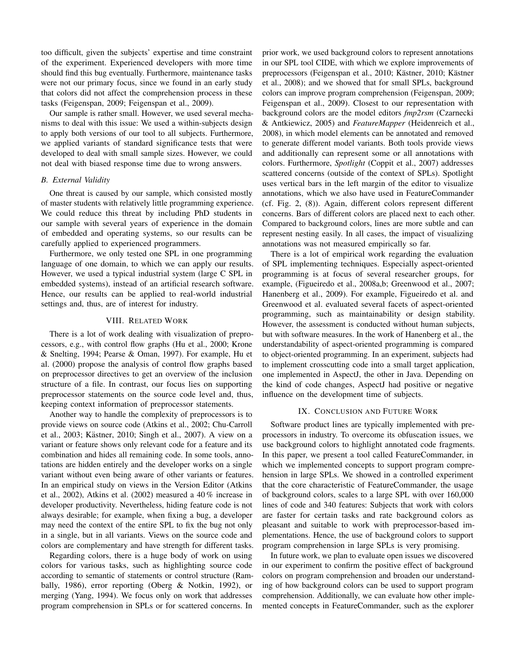too difficult, given the subjects' expertise and time constraint of the experiment. Experienced developers with more time should find this bug eventually. Furthermore, maintenance tasks were not our primary focus, since we found in an early study that colors did not affect the comprehension process in these tasks (Feigenspan, 2009; Feigenspan et al., 2009).

Our sample is rather small. However, we used several mechanisms to deal with this issue: We used a within-subjects design to apply both versions of our tool to all subjects. Furthermore, we applied variants of standard significance tests that were developed to deal with small sample sizes. However, we could not deal with biased response time due to wrong answers.

# *B. External Validity*

One threat is caused by our sample, which consisted mostly of master students with relatively little programming experience. We could reduce this threat by including PhD students in our sample with several years of experience in the domain of embedded and operating systems, so our results can be carefully applied to experienced programmers.

Furthermore, we only tested one SPL in one programming language of one domain, to which we can apply our results. However, we used a typical industrial system (large C SPL in embedded systems), instead of an artificial research software. Hence, our results can be applied to real-world industrial settings and, thus, are of interest for industry.

# VIII. RELATED WORK

There is a lot of work dealing with visualization of preprocessors, e.g., with control flow graphs (Hu et al., 2000; Krone & Snelting, 1994; Pearse & Oman, 1997). For example, Hu et al. (2000) propose the analysis of control flow graphs based on preprocessor directives to get an overview of the inclusion structure of a file. In contrast, our focus lies on supporting preprocessor statements on the source code level and, thus, keeping context information of preprocessor statements.

Another way to handle the complexity of preprocessors is to provide views on source code (Atkins et al., 2002; Chu-Carroll et al., 2003; Kästner, 2010; Singh et al., 2007). A view on a variant or feature shows only relevant code for a feature and its combination and hides all remaining code. In some tools, annotations are hidden entirely and the developer works on a single variant without even being aware of other variants or features. In an empirical study on views in the Version Editor (Atkins et al., 2002), Atkins et al. (2002) measured a 40 % increase in developer productivity. Nevertheless, hiding feature code is not always desirable; for example, when fixing a bug, a developer may need the context of the entire SPL to fix the bug not only in a single, but in all variants. Views on the source code and colors are complementary and have strength for different tasks.

Regarding colors, there is a huge body of work on using colors for various tasks, such as highlighting source code according to semantic of statements or control structure (Rambally, 1986), error reporting (Oberg & Notkin, 1992), or merging (Yang, 1994). We focus only on work that addresses program comprehension in SPLs or for scattered concerns. In

prior work, we used background colors to represent annotations in our SPL tool CIDE, with which we explore improvements of preprocessors (Feigenspan et al., 2010; Kästner, 2010; Kästner et al., 2008); and we showed that for small SPLs, background colors can improve program comprehension (Feigenspan, 2009; Feigenspan et al., 2009). Closest to our representation with background colors are the model editors *fmp2rsm* (Czarnecki & Antkiewicz, 2005) and *FeatureMapper* (Heidenreich et al., 2008), in which model elements can be annotated and removed to generate different model variants. Both tools provide views and additionally can represent some or all annotations with colors. Furthermore, *Spotlight* (Coppit et al., 2007) addresses scattered concerns (outside of the context of SPLs). Spotlight uses vertical bars in the left margin of the editor to visualize annotations, which we also have used in FeatureCommander (cf. Fig. 2, (8)). Again, different colors represent different concerns. Bars of different colors are placed next to each other. Compared to background colors, lines are more subtle and can represent nesting easily. In all cases, the impact of visualizing annotations was not measured empirically so far.

There is a lot of empirical work regarding the evaluation of SPL implementing techniques. Especially aspect-oriented programming is at focus of several researcher groups, for example, (Figueiredo et al., 2008a,b; Greenwood et al., 2007; Hanenberg et al., 2009). For example, Figueiredo et al. and Greenwood et al. evaluated several facets of aspect-oriented programming, such as maintainability or design stability. However, the assessment is conducted without human subjects, but with software measures. In the work of Hanenberg et al., the understandability of aspect-oriented programming is compared to object-oriented programming. In an experiment, subjects had to implement crosscutting code into a small target application, one implemented in AspectJ, the other in Java. Depending on the kind of code changes, AspectJ had positive or negative influence on the development time of subjects.

# IX. CONCLUSION AND FUTURE WORK

Software product lines are typically implemented with preprocessors in industry. To overcome its obfuscation issues, we use background colors to highlight annotated code fragments. In this paper, we present a tool called FeatureCommander, in which we implemented concepts to support program comprehension in large SPLs. We showed in a controlled experiment that the core characteristic of FeatureCommander, the usage of background colors, scales to a large SPL with over 160,000 lines of code and 340 features: Subjects that work with colors are faster for certain tasks and rate background colors as pleasant and suitable to work with preprocessor-based implementations. Hence, the use of background colors to support program comprehension in large SPLs is very promising.

In future work, we plan to evaluate open issues we discovered in our experiment to confirm the positive effect of background colors on program comprehension and broaden our understanding of how background colors can be used to support program comprehension. Additionally, we can evaluate how other implemented concepts in FeatureCommander, such as the explorer